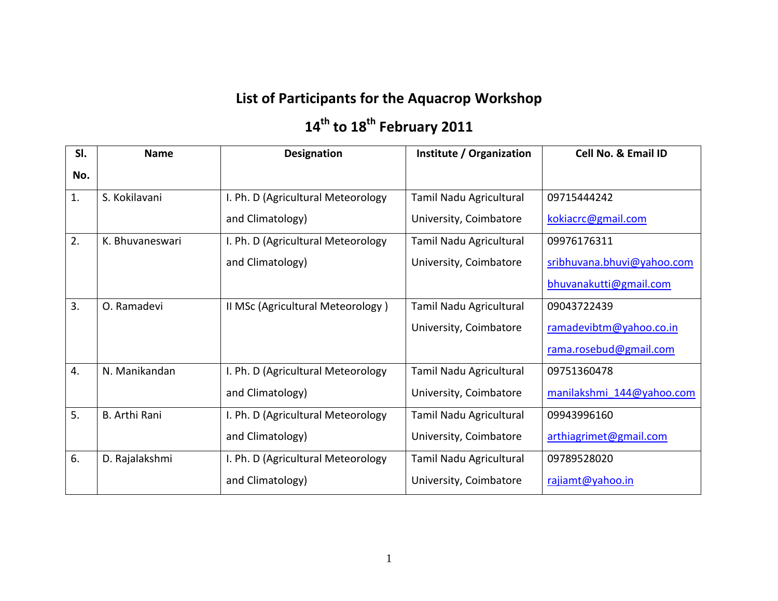## **List of Participants for the Aquacrop Workshop**

## **14th to 18th February 2011**

| SI. | <b>Name</b>          | <b>Designation</b>                 | Institute / Organization | Cell No. & Email ID        |
|-----|----------------------|------------------------------------|--------------------------|----------------------------|
| No. |                      |                                    |                          |                            |
| 1.  | S. Kokilavani        | I. Ph. D (Agricultural Meteorology | Tamil Nadu Agricultural  | 09715444242                |
|     |                      | and Climatology)                   | University, Coimbatore   | kokiacrc@gmail.com         |
| 2.  | K. Bhuvaneswari      | I. Ph. D (Agricultural Meteorology | Tamil Nadu Agricultural  | 09976176311                |
|     |                      | and Climatology)                   | University, Coimbatore   | sribhuvana.bhuvi@yahoo.com |
|     |                      |                                    |                          | bhuvanakutti@gmail.com     |
| 3.  | O. Ramadevi          | II MSc (Agricultural Meteorology)  | Tamil Nadu Agricultural  | 09043722439                |
|     |                      |                                    | University, Coimbatore   | ramadevibtm@yahoo.co.in    |
|     |                      |                                    |                          | rama.rosebud@gmail.com     |
| 4.  | N. Manikandan        | I. Ph. D (Agricultural Meteorology | Tamil Nadu Agricultural  | 09751360478                |
|     |                      | and Climatology)                   | University, Coimbatore   | manilakshmi 144@yahoo.com  |
| 5.  | <b>B.</b> Arthi Rani | I. Ph. D (Agricultural Meteorology | Tamil Nadu Agricultural  | 09943996160                |
|     |                      | and Climatology)                   | University, Coimbatore   | arthiagrimet@gmail.com     |
| 6.  | D. Rajalakshmi       | I. Ph. D (Agricultural Meteorology | Tamil Nadu Agricultural  | 09789528020                |
|     |                      | and Climatology)                   | University, Coimbatore   | rajiamt@yahoo.in           |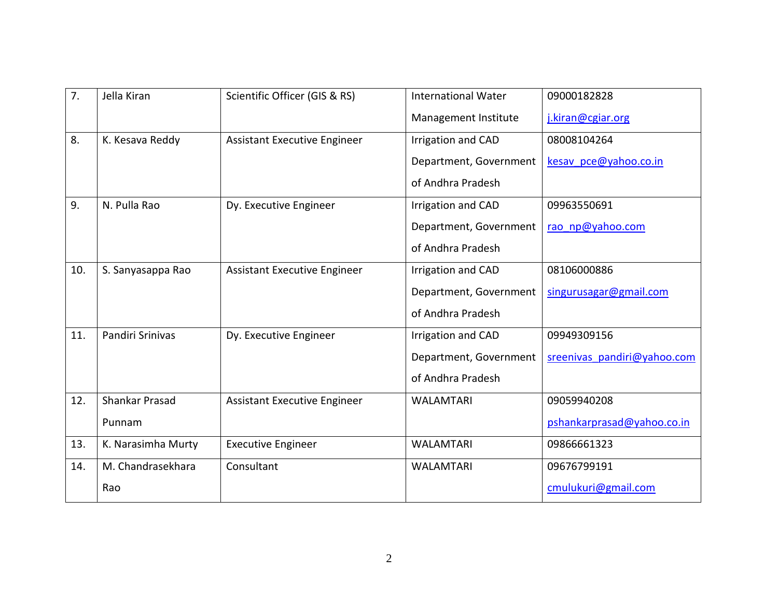| 7.  | Jella Kiran        | Scientific Officer (GIS & RS)       | <b>International Water</b> | 09000182828                 |
|-----|--------------------|-------------------------------------|----------------------------|-----------------------------|
|     |                    |                                     | Management Institute       | j.kiran@cgiar.org           |
| 8.  | K. Kesava Reddy    | <b>Assistant Executive Engineer</b> | Irrigation and CAD         | 08008104264                 |
|     |                    |                                     | Department, Government     | kesav pce@yahoo.co.in       |
|     |                    |                                     | of Andhra Pradesh          |                             |
| 9.  | N. Pulla Rao       | Dy. Executive Engineer              | Irrigation and CAD         | 09963550691                 |
|     |                    |                                     | Department, Government     | rao np@yahoo.com            |
|     |                    |                                     | of Andhra Pradesh          |                             |
| 10. | S. Sanyasappa Rao  | <b>Assistant Executive Engineer</b> | Irrigation and CAD         | 08106000886                 |
|     |                    |                                     | Department, Government     | singurusagar@gmail.com      |
|     |                    |                                     | of Andhra Pradesh          |                             |
| 11. | Pandiri Srinivas   | Dy. Executive Engineer              | Irrigation and CAD         | 09949309156                 |
|     |                    |                                     | Department, Government     | sreenivas pandiri@yahoo.com |
|     |                    |                                     | of Andhra Pradesh          |                             |
| 12. | Shankar Prasad     | <b>Assistant Executive Engineer</b> | <b>WALAMTARI</b>           | 09059940208                 |
|     | Punnam             |                                     |                            | pshankarprasad@yahoo.co.in  |
| 13. | K. Narasimha Murty | <b>Executive Engineer</b>           | <b>WALAMTARI</b>           | 09866661323                 |
| 14. | M. Chandrasekhara  | Consultant                          | <b>WALAMTARI</b>           | 09676799191                 |
|     | Rao                |                                     |                            | cmulukuri@gmail.com         |